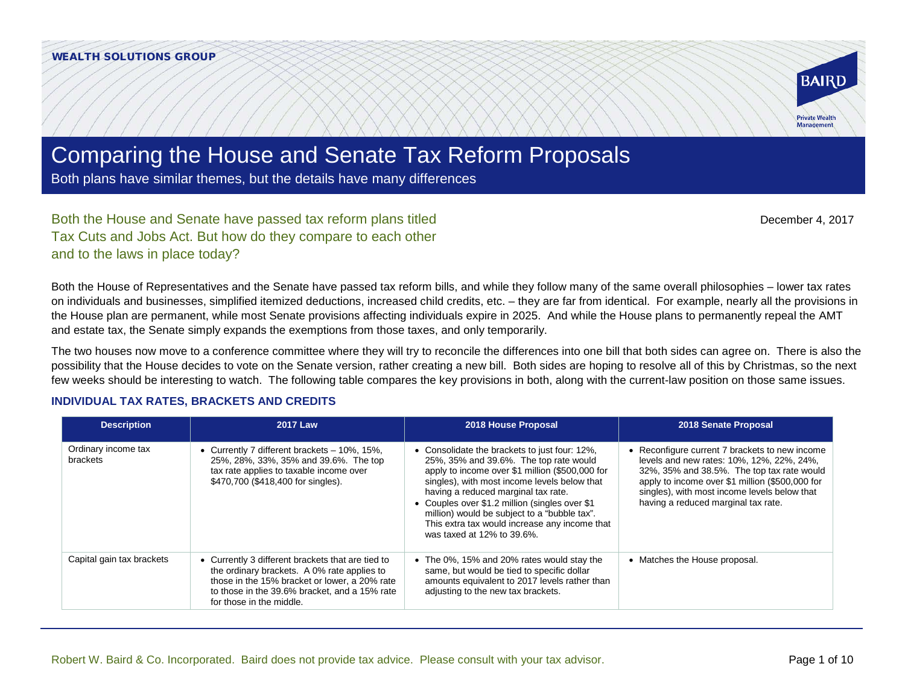

December 4, 2017

# Comparing the House and Senate Tax Reform Proposals

Both plans have similar themes, but the details have many differences

Both the House and Senate have passed tax reform plans titled Tax Cuts and Jobs Act. But how do they compare to each other and to the laws in place today?

Both the House of Representatives and the Senate have passed tax reform bills, and while they follow many of the same overall philosophies – lower tax rates on individuals and businesses, simplified itemized deductions, increased child credits, etc. – they are far from identical. For example, nearly all the provisions in the House plan are permanent, while most Senate provisions affecting individuals expire in 2025. And while the House plans to permanently repeal the AMT and estate tax, the Senate simply expands the exemptions from those taxes, and only temporarily.

The two houses now move to a conference committee where they will try to reconcile the differences into one bill that both sides can agree on. There is also the possibility that the House decides to vote on the Senate version, rather creating a new bill. Both sides are hoping to resolve all of this by Christmas, so the next few weeks should be interesting to watch. The following table compares the key provisions in both, along with the current-law position on those same issues.

#### **INDIVIDUAL TAX RATES, BRACKETS AND CREDITS**

| <b>Description</b>              | <b>2017 Law</b>                                                                                                                                                                                                              | 2018 House Proposal                                                                                                                                                                                                                                                                                                                                                                                                | 2018 Senate Proposal                                                                                                                                                                                                                                                                |
|---------------------------------|------------------------------------------------------------------------------------------------------------------------------------------------------------------------------------------------------------------------------|--------------------------------------------------------------------------------------------------------------------------------------------------------------------------------------------------------------------------------------------------------------------------------------------------------------------------------------------------------------------------------------------------------------------|-------------------------------------------------------------------------------------------------------------------------------------------------------------------------------------------------------------------------------------------------------------------------------------|
| Ordinary income tax<br>brackets | Currently 7 different brackets - 10%, 15%,<br>25%, 28%, 33%, 35% and 39.6%. The top<br>tax rate applies to taxable income over<br>\$470,700 (\$418,400 for singles).                                                         | • Consolidate the brackets to just four: 12%,<br>25%, 35% and 39.6%. The top rate would<br>apply to income over \$1 million (\$500,000 for<br>singles), with most income levels below that<br>having a reduced marginal tax rate.<br>• Couples over \$1.2 million (singles over \$1<br>million) would be subject to a "bubble tax".<br>This extra tax would increase any income that<br>was taxed at 12% to 39.6%. | • Reconfigure current 7 brackets to new income<br>levels and new rates: 10%, 12%, 22%, 24%,<br>32%, 35% and 38.5%. The top tax rate would<br>apply to income over \$1 million (\$500,000 for<br>singles), with most income levels below that<br>having a reduced marginal tax rate. |
| Capital gain tax brackets       | Currently 3 different brackets that are tied to<br>the ordinary brackets. A 0% rate applies to<br>those in the 15% bracket or lower, a 20% rate<br>to those in the 39.6% bracket, and a 15% rate<br>for those in the middle. | • The 0%, 15% and 20% rates would stay the<br>same, but would be tied to specific dollar<br>amounts equivalent to 2017 levels rather than<br>adjusting to the new tax brackets.                                                                                                                                                                                                                                    | • Matches the House proposal.                                                                                                                                                                                                                                                       |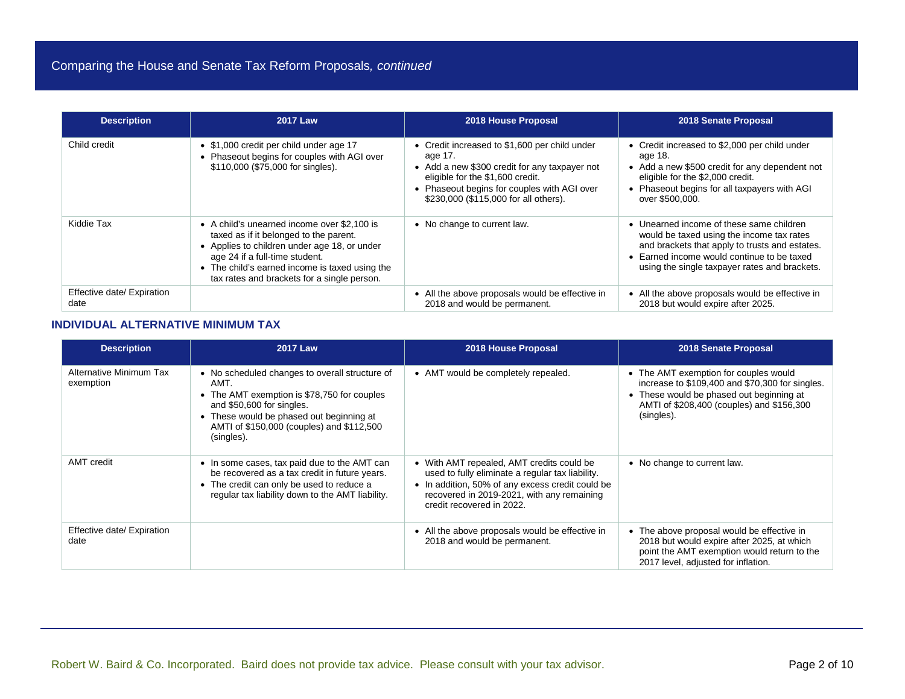| <b>Description</b>                 | <b>2017 Law</b>                                                                                                                                                                                                                                                          | 2018 House Proposal                                                                                                                                                                                                                   | 2018 Senate Proposal                                                                                                                                                                                                                   |
|------------------------------------|--------------------------------------------------------------------------------------------------------------------------------------------------------------------------------------------------------------------------------------------------------------------------|---------------------------------------------------------------------------------------------------------------------------------------------------------------------------------------------------------------------------------------|----------------------------------------------------------------------------------------------------------------------------------------------------------------------------------------------------------------------------------------|
| Child credit                       | • \$1,000 credit per child under age 17<br>Phaseout begins for couples with AGI over<br>\$110,000 (\$75,000 for singles).                                                                                                                                                | • Credit increased to \$1,600 per child under<br>age 17.<br>• Add a new \$300 credit for any taxpayer not<br>eligible for the \$1,600 credit.<br>• Phaseout begins for couples with AGI over<br>\$230,000 (\$115,000 for all others). | • Credit increased to \$2,000 per child under<br>age 18.<br>• Add a new \$500 credit for any dependent not<br>eligible for the \$2,000 credit.<br>• Phaseout begins for all taxpayers with AGI<br>over \$500,000.                      |
| Kiddie Tax                         | • A child's unearned income over \$2,100 is<br>taxed as if it belonged to the parent.<br>• Applies to children under age 18, or under<br>age 24 if a full-time student.<br>• The child's earned income is taxed using the<br>tax rates and brackets for a single person. | • No change to current law.                                                                                                                                                                                                           | • Unearned income of these same children<br>would be taxed using the income tax rates<br>and brackets that apply to trusts and estates.<br>• Earned income would continue to be taxed<br>using the single taxpayer rates and brackets. |
| Effective date/ Expiration<br>date |                                                                                                                                                                                                                                                                          | • All the above proposals would be effective in<br>2018 and would be permanent.                                                                                                                                                       | • All the above proposals would be effective in<br>2018 but would expire after 2025.                                                                                                                                                   |

### **INDIVIDUAL ALTERNATIVE MINIMUM TAX**

| <b>Description</b>                   | <b>2017 Law</b>                                                                                                                                                                                                                           | 2018 House Proposal                                                                                                                                                                                                          | 2018 Senate Proposal                                                                                                                                                                            |
|--------------------------------------|-------------------------------------------------------------------------------------------------------------------------------------------------------------------------------------------------------------------------------------------|------------------------------------------------------------------------------------------------------------------------------------------------------------------------------------------------------------------------------|-------------------------------------------------------------------------------------------------------------------------------------------------------------------------------------------------|
| Alternative Minimum Tax<br>exemption | • No scheduled changes to overall structure of<br>AMT.<br>• The AMT exemption is \$78,750 for couples<br>and \$50,600 for singles.<br>• These would be phased out beginning at<br>AMTI of \$150,000 (couples) and \$112,500<br>(singles). | • AMT would be completely repealed.                                                                                                                                                                                          | • The AMT exemption for couples would<br>increase to \$109,400 and \$70,300 for singles.<br>• These would be phased out beginning at<br>AMTI of \$208,400 (couples) and \$156,300<br>(singles). |
| AMT credit                           | • In some cases, tax paid due to the AMT can<br>be recovered as a tax credit in future years.<br>• The credit can only be used to reduce a<br>regular tax liability down to the AMT liability.                                            | • With AMT repealed, AMT credits could be<br>used to fully eliminate a regular tax liability.<br>• In addition, 50% of any excess credit could be<br>recovered in 2019-2021, with any remaining<br>credit recovered in 2022. | • No change to current law.                                                                                                                                                                     |
| Effective date/ Expiration<br>date   |                                                                                                                                                                                                                                           | • All the above proposals would be effective in<br>2018 and would be permanent.                                                                                                                                              | • The above proposal would be effective in<br>2018 but would expire after 2025, at which<br>point the AMT exemption would return to the<br>2017 level, adjusted for inflation.                  |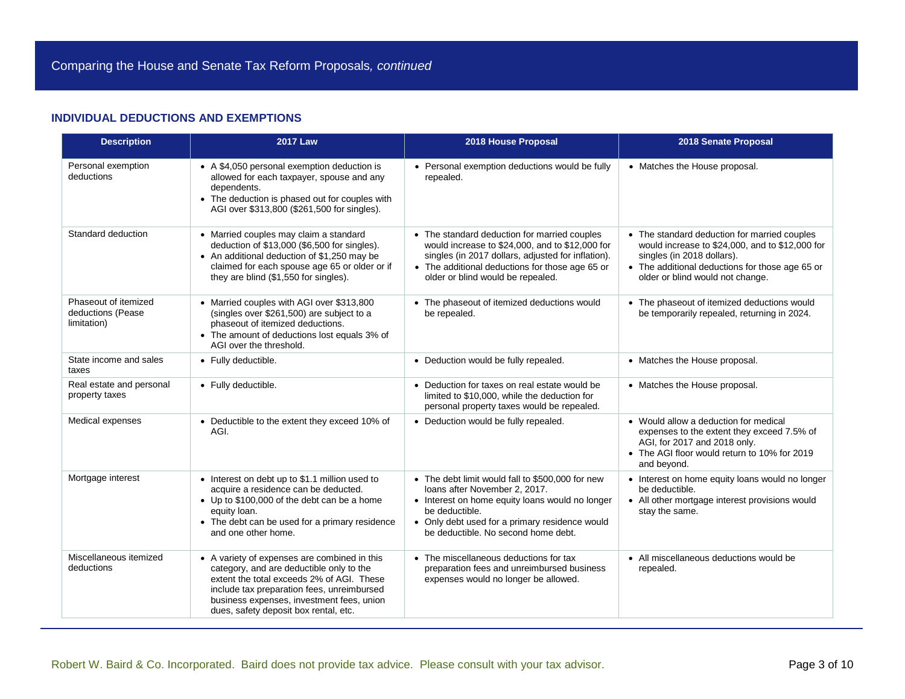#### **INDIVIDUAL DEDUCTIONS AND EXEMPTIONS**

| <b>Description</b>                                       | <b>2017 Law</b>                                                                                                                                                                                                                                                           | 2018 House Proposal                                                                                                                                                                                                                             | 2018 Senate Proposal                                                                                                                                                                                                 |
|----------------------------------------------------------|---------------------------------------------------------------------------------------------------------------------------------------------------------------------------------------------------------------------------------------------------------------------------|-------------------------------------------------------------------------------------------------------------------------------------------------------------------------------------------------------------------------------------------------|----------------------------------------------------------------------------------------------------------------------------------------------------------------------------------------------------------------------|
| Personal exemption<br>deductions                         | • A \$4,050 personal exemption deduction is<br>allowed for each taxpayer, spouse and any<br>dependents.<br>• The deduction is phased out for couples with<br>AGI over \$313,800 (\$261,500 for singles).                                                                  | • Personal exemption deductions would be fully<br>repealed.                                                                                                                                                                                     | • Matches the House proposal.                                                                                                                                                                                        |
| Standard deduction                                       | • Married couples may claim a standard<br>deduction of \$13,000 (\$6,500 for singles).<br>• An additional deduction of \$1,250 may be<br>claimed for each spouse age 65 or older or if<br>they are blind (\$1,550 for singles).                                           | • The standard deduction for married couples<br>would increase to \$24,000, and to \$12,000 for<br>singles (in 2017 dollars, adjusted for inflation).<br>• The additional deductions for those age 65 or<br>older or blind would be repealed.   | • The standard deduction for married couples<br>would increase to \$24,000, and to \$12,000 for<br>singles (in 2018 dollars).<br>• The additional deductions for those age 65 or<br>older or blind would not change. |
| Phaseout of itemized<br>deductions (Pease<br>limitation) | • Married couples with AGI over \$313,800<br>(singles over \$261,500) are subject to a<br>phaseout of itemized deductions.<br>• The amount of deductions lost equals 3% of<br>AGI over the threshold.                                                                     | • The phaseout of itemized deductions would<br>be repealed.                                                                                                                                                                                     | • The phaseout of itemized deductions would<br>be temporarily repealed, returning in 2024.                                                                                                                           |
| State income and sales<br>taxes                          | • Fully deductible.                                                                                                                                                                                                                                                       | • Deduction would be fully repealed.                                                                                                                                                                                                            | • Matches the House proposal.                                                                                                                                                                                        |
| Real estate and personal<br>property taxes               | • Fully deductible.                                                                                                                                                                                                                                                       | • Deduction for taxes on real estate would be<br>limited to \$10,000, while the deduction for<br>personal property taxes would be repealed.                                                                                                     | • Matches the House proposal.                                                                                                                                                                                        |
| Medical expenses                                         | • Deductible to the extent they exceed 10% of<br>AGI.                                                                                                                                                                                                                     | • Deduction would be fully repealed.                                                                                                                                                                                                            | • Would allow a deduction for medical<br>expenses to the extent they exceed 7.5% of<br>AGI, for 2017 and 2018 only.<br>• The AGI floor would return to 10% for 2019<br>and beyond.                                   |
| Mortgage interest                                        | • Interest on debt up to \$1.1 million used to<br>acquire a residence can be deducted.<br>• Up to \$100,000 of the debt can be a home<br>equity loan.<br>• The debt can be used for a primary residence<br>and one other home.                                            | • The debt limit would fall to \$500,000 for new<br>loans after November 2, 2017.<br>• Interest on home equity loans would no longer<br>be deductible.<br>• Only debt used for a primary residence would<br>be deductible. No second home debt. | • Interest on home equity loans would no longer<br>be deductible.<br>• All other mortgage interest provisions would<br>stay the same.                                                                                |
| Miscellaneous itemized<br>deductions                     | • A variety of expenses are combined in this<br>category, and are deductible only to the<br>extent the total exceeds 2% of AGI. These<br>include tax preparation fees, unreimbursed<br>business expenses, investment fees, union<br>dues, safety deposit box rental, etc. | • The miscellaneous deductions for tax<br>preparation fees and unreimbursed business<br>expenses would no longer be allowed.                                                                                                                    | • All miscellaneous deductions would be<br>repealed.                                                                                                                                                                 |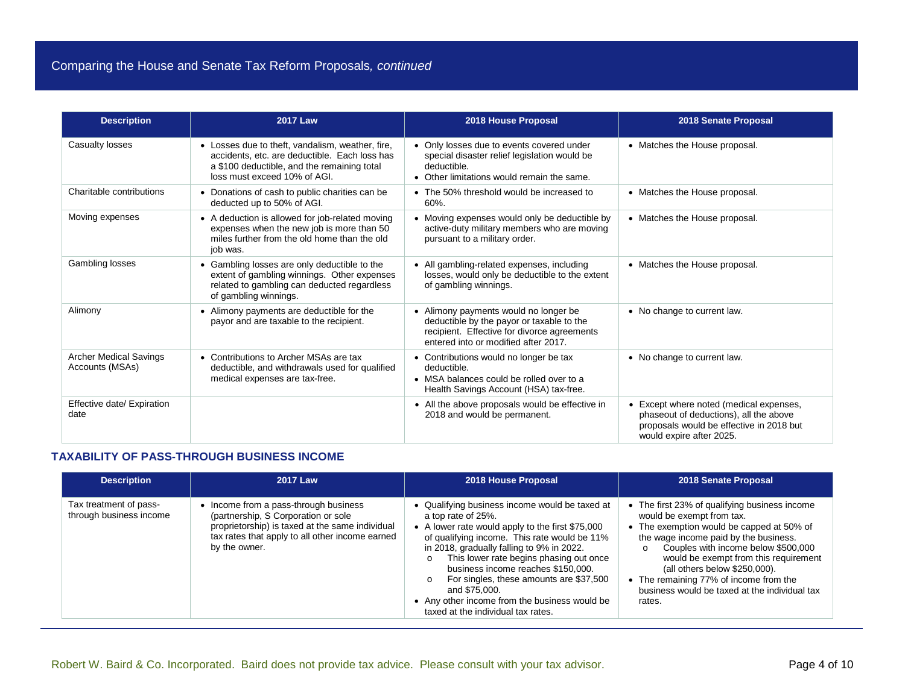| <b>Description</b>                               | <b>2017 Law</b>                                                                                                                                                                  | 2018 House Proposal                                                                                                                                                       | 2018 Senate Proposal                                                                                                                                    |
|--------------------------------------------------|----------------------------------------------------------------------------------------------------------------------------------------------------------------------------------|---------------------------------------------------------------------------------------------------------------------------------------------------------------------------|---------------------------------------------------------------------------------------------------------------------------------------------------------|
| Casualty losses                                  | • Losses due to theft, vandalism, weather, fire,<br>accidents, etc. are deductible. Each loss has<br>a \$100 deductible, and the remaining total<br>loss must exceed 10% of AGI. | • Only losses due to events covered under<br>special disaster relief legislation would be<br>deductible.<br>• Other limitations would remain the same.                    | • Matches the House proposal.                                                                                                                           |
| Charitable contributions                         | • Donations of cash to public charities can be<br>deducted up to 50% of AGI.                                                                                                     | • The 50% threshold would be increased to<br>60%.                                                                                                                         | • Matches the House proposal.                                                                                                                           |
| Moving expenses                                  | • A deduction is allowed for job-related moving<br>expenses when the new job is more than 50<br>miles further from the old home than the old<br>job was.                         | • Moving expenses would only be deductible by<br>active-duty military members who are moving<br>pursuant to a military order.                                             | • Matches the House proposal.                                                                                                                           |
| Gambling losses                                  | • Gambling losses are only deductible to the<br>extent of gambling winnings. Other expenses<br>related to gambling can deducted regardless<br>of gambling winnings.              | • All gambling-related expenses, including<br>losses, would only be deductible to the extent<br>of gambling winnings.                                                     | • Matches the House proposal.                                                                                                                           |
| Alimony                                          | • Alimony payments are deductible for the<br>payor and are taxable to the recipient.                                                                                             | • Alimony payments would no longer be<br>deductible by the payor or taxable to the<br>recipient. Effective for divorce agreements<br>entered into or modified after 2017. | • No change to current law.                                                                                                                             |
| <b>Archer Medical Savings</b><br>Accounts (MSAs) | • Contributions to Archer MSAs are tax<br>deductible, and withdrawals used for qualified<br>medical expenses are tax-free.                                                       | • Contributions would no longer be tax<br>deductible.<br>• MSA balances could be rolled over to a<br>Health Savings Account (HSA) tax-free.                               | • No change to current law.                                                                                                                             |
| Effective date/ Expiration<br>date               |                                                                                                                                                                                  | • All the above proposals would be effective in<br>2018 and would be permanent.                                                                                           | Except where noted (medical expenses,<br>phaseout of deductions), all the above<br>proposals would be effective in 2018 but<br>would expire after 2025. |

# **TAXABILITY OF PASS-THROUGH BUSINESS INCOME**

| <b>Description</b>                                | <b>2017 Law</b>                                                                                                                                                                                     | 2018 House Proposal                                                                                                                                                                                                                                                                                                                                                                                                                                       | 2018 Senate Proposal                                                                                                                                                                                                                                                                                                                                                                              |
|---------------------------------------------------|-----------------------------------------------------------------------------------------------------------------------------------------------------------------------------------------------------|-----------------------------------------------------------------------------------------------------------------------------------------------------------------------------------------------------------------------------------------------------------------------------------------------------------------------------------------------------------------------------------------------------------------------------------------------------------|---------------------------------------------------------------------------------------------------------------------------------------------------------------------------------------------------------------------------------------------------------------------------------------------------------------------------------------------------------------------------------------------------|
| Tax treatment of pass-<br>through business income | • Income from a pass-through business<br>(partnership, S Corporation or sole<br>proprietorship) is taxed at the same individual<br>tax rates that apply to all other income earned<br>by the owner. | • Qualifying business income would be taxed at<br>a top rate of 25%.<br>• A lower rate would apply to the first \$75,000<br>of qualifying income. This rate would be 11%<br>in 2018, gradually falling to 9% in 2022.<br>This lower rate begins phasing out once<br>business income reaches \$150,000.<br>For singles, these amounts are \$37,500<br>and \$75,000.<br>• Any other income from the business would be<br>taxed at the individual tax rates. | • The first 23% of qualifying business income<br>would be exempt from tax.<br>• The exemption would be capped at 50% of<br>the wage income paid by the business.<br>Couples with income below \$500,000<br>$\circ$<br>would be exempt from this requirement<br>(all others below \$250,000).<br>• The remaining 77% of income from the<br>business would be taxed at the individual tax<br>rates. |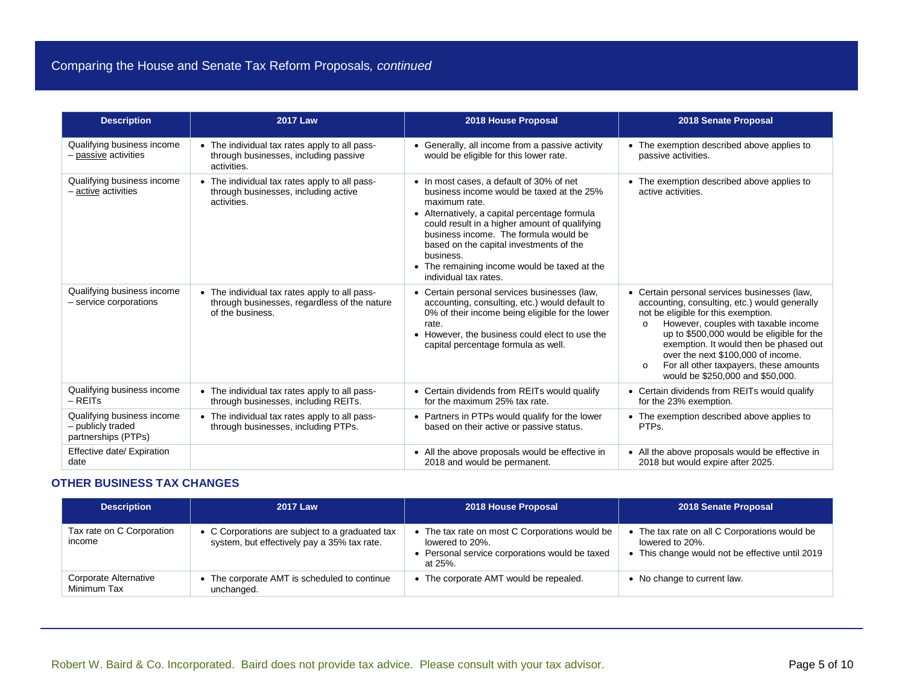| <b>Description</b>                                                     | <b>2017 Law</b>                                                                                                   | 2018 House Proposal                                                                                                                                                                                                                                                                                                                                                                | 2018 Senate Proposal                                                                                                                                                                                                                                                                                                                                                                                           |
|------------------------------------------------------------------------|-------------------------------------------------------------------------------------------------------------------|------------------------------------------------------------------------------------------------------------------------------------------------------------------------------------------------------------------------------------------------------------------------------------------------------------------------------------------------------------------------------------|----------------------------------------------------------------------------------------------------------------------------------------------------------------------------------------------------------------------------------------------------------------------------------------------------------------------------------------------------------------------------------------------------------------|
| Qualifying business income<br>- passive activities                     | • The individual tax rates apply to all pass-<br>through businesses, including passive<br>activities.             | • Generally, all income from a passive activity<br>would be eligible for this lower rate.                                                                                                                                                                                                                                                                                          | • The exemption described above applies to<br>passive activities.                                                                                                                                                                                                                                                                                                                                              |
| Qualifying business income<br>– active activities                      | • The individual tax rates apply to all pass-<br>through businesses, including active<br>activities.              | • In most cases, a default of 30% of net<br>business income would be taxed at the 25%<br>maximum rate.<br>• Alternatively, a capital percentage formula<br>could result in a higher amount of qualifying<br>business income. The formula would be<br>based on the capital investments of the<br>business.<br>• The remaining income would be taxed at the<br>individual tax rates. | • The exemption described above applies to<br>active activities.                                                                                                                                                                                                                                                                                                                                               |
| Qualifying business income<br>- service corporations                   | • The individual tax rates apply to all pass-<br>through businesses, regardless of the nature<br>of the business. | • Certain personal services businesses (law,<br>accounting, consulting, etc.) would default to<br>0% of their income being eligible for the lower<br>rate.<br>• However, the business could elect to use the<br>capital percentage formula as well.                                                                                                                                | • Certain personal services businesses (law,<br>accounting, consulting, etc.) would generally<br>not be eligible for this exemption.<br>However, couples with taxable income<br>$\Omega$<br>up to \$500,000 would be eligible for the<br>exemption. It would then be phased out<br>over the next \$100,000 of income.<br>For all other taxpayers, these amounts<br>$\circ$<br>would be \$250,000 and \$50,000. |
| Qualifying business income<br>$-$ REITs                                | • The individual tax rates apply to all pass-<br>through businesses, including REITs.                             | • Certain dividends from REITs would qualify<br>for the maximum 25% tax rate.                                                                                                                                                                                                                                                                                                      | • Certain dividends from REITs would qualify<br>for the 23% exemption.                                                                                                                                                                                                                                                                                                                                         |
| Qualifying business income<br>- publicly traded<br>partnerships (PTPs) | • The individual tax rates apply to all pass-<br>through businesses, including PTPs.                              | • Partners in PTPs would qualify for the lower<br>based on their active or passive status.                                                                                                                                                                                                                                                                                         | • The exemption described above applies to<br>PTPs.                                                                                                                                                                                                                                                                                                                                                            |
| Effective date/ Expiration<br>date                                     |                                                                                                                   | • All the above proposals would be effective in<br>2018 and would be permanent.                                                                                                                                                                                                                                                                                                    | • All the above proposals would be effective in<br>2018 but would expire after 2025.                                                                                                                                                                                                                                                                                                                           |

#### **OTHER BUSINESS TAX CHANGES**

| <b>Description</b>                   | <b>2017 Law</b>                                                                                | 2018 House Proposal                                                                                                        | 2018 Senate Proposal                                                                                                |
|--------------------------------------|------------------------------------------------------------------------------------------------|----------------------------------------------------------------------------------------------------------------------------|---------------------------------------------------------------------------------------------------------------------|
| Tax rate on C Corporation<br>income  | • C Corporations are subject to a graduated tax<br>system, but effectively pay a 35% tax rate. | The tax rate on most C Corporations would be<br>lowered to 20%.<br>Personal service corporations would be taxed<br>at 25%. | • The tax rate on all C Corporations would be<br>lowered to 20%.<br>• This change would not be effective until 2019 |
| Corporate Alternative<br>Minimum Tax | The corporate AMT is scheduled to continue<br>unchanged.                                       | The corporate AMT would be repealed.                                                                                       | • No change to current law.                                                                                         |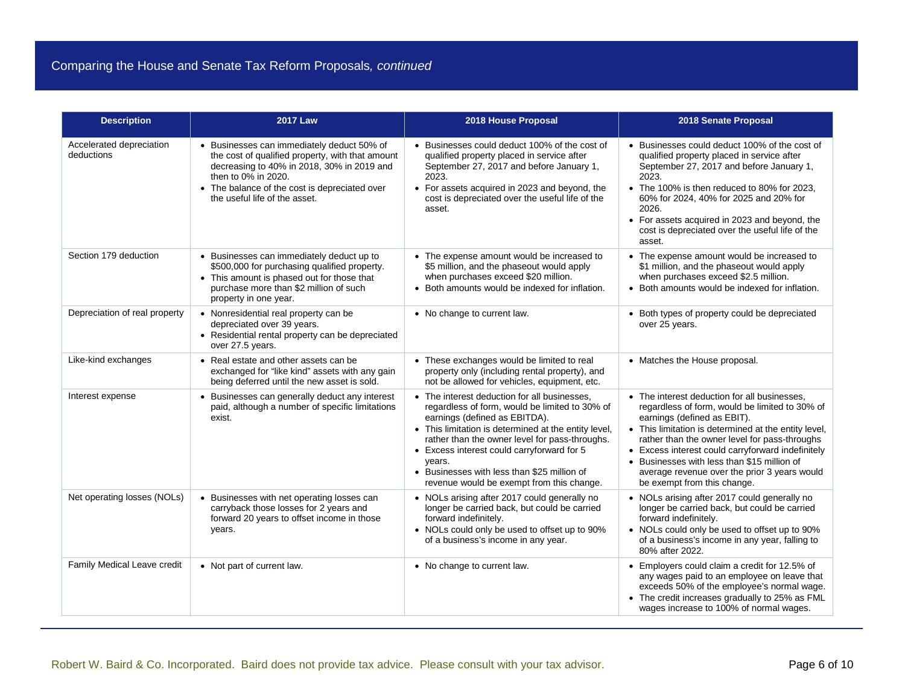| <b>Description</b>                     | <b>2017 Law</b>                                                                                                                                                                                                                                       | 2018 House Proposal                                                                                                                                                                                                                                                                                                                                                                           | 2018 Senate Proposal                                                                                                                                                                                                                                                                                                                                                                                                      |
|----------------------------------------|-------------------------------------------------------------------------------------------------------------------------------------------------------------------------------------------------------------------------------------------------------|-----------------------------------------------------------------------------------------------------------------------------------------------------------------------------------------------------------------------------------------------------------------------------------------------------------------------------------------------------------------------------------------------|---------------------------------------------------------------------------------------------------------------------------------------------------------------------------------------------------------------------------------------------------------------------------------------------------------------------------------------------------------------------------------------------------------------------------|
| Accelerated depreciation<br>deductions | • Businesses can immediately deduct 50% of<br>the cost of qualified property, with that amount<br>decreasing to 40% in 2018, 30% in 2019 and<br>then to 0% in 2020.<br>• The balance of the cost is depreciated over<br>the useful life of the asset. | • Businesses could deduct 100% of the cost of<br>qualified property placed in service after<br>September 27, 2017 and before January 1,<br>2023.<br>• For assets acquired in 2023 and beyond, the<br>cost is depreciated over the useful life of the<br>asset.                                                                                                                                | • Businesses could deduct 100% of the cost of<br>qualified property placed in service after<br>September 27, 2017 and before January 1,<br>2023.<br>• The 100% is then reduced to 80% for 2023,<br>60% for 2024, 40% for 2025 and 20% for<br>2026.<br>• For assets acquired in 2023 and beyond, the<br>cost is depreciated over the useful life of the<br>asset.                                                          |
| Section 179 deduction                  | • Businesses can immediately deduct up to<br>\$500,000 for purchasing qualified property.<br>• This amount is phased out for those that<br>purchase more than \$2 million of such<br>property in one year.                                            | • The expense amount would be increased to<br>\$5 million, and the phaseout would apply<br>when purchases exceed \$20 million.<br>• Both amounts would be indexed for inflation.                                                                                                                                                                                                              | • The expense amount would be increased to<br>\$1 million, and the phaseout would apply<br>when purchases exceed \$2.5 million.<br>• Both amounts would be indexed for inflation.                                                                                                                                                                                                                                         |
| Depreciation of real property          | • Nonresidential real property can be<br>depreciated over 39 years.<br>• Residential rental property can be depreciated<br>over 27.5 years.                                                                                                           | • No change to current law.                                                                                                                                                                                                                                                                                                                                                                   | • Both types of property could be depreciated<br>over 25 years.                                                                                                                                                                                                                                                                                                                                                           |
| Like-kind exchanges                    | • Real estate and other assets can be<br>exchanged for "like kind" assets with any gain<br>being deferred until the new asset is sold.                                                                                                                | • These exchanges would be limited to real<br>property only (including rental property), and<br>not be allowed for vehicles, equipment, etc.                                                                                                                                                                                                                                                  | • Matches the House proposal.                                                                                                                                                                                                                                                                                                                                                                                             |
| Interest expense                       | • Businesses can generally deduct any interest<br>paid, although a number of specific limitations<br>exist.                                                                                                                                           | • The interest deduction for all businesses.<br>regardless of form, would be limited to 30% of<br>earnings (defined as EBITDA).<br>• This limitation is determined at the entity level,<br>rather than the owner level for pass-throughs.<br>• Excess interest could carryforward for 5<br>years.<br>• Businesses with less than \$25 million of<br>revenue would be exempt from this change. | • The interest deduction for all businesses.<br>regardless of form, would be limited to 30% of<br>earnings (defined as EBIT).<br>• This limitation is determined at the entity level,<br>rather than the owner level for pass-throughs<br>• Excess interest could carryforward indefinitely<br>• Businesses with less than \$15 million of<br>average revenue over the prior 3 years would<br>be exempt from this change. |
| Net operating losses (NOLs)            | • Businesses with net operating losses can<br>carryback those losses for 2 years and<br>forward 20 years to offset income in those<br>years.                                                                                                          | • NOLs arising after 2017 could generally no<br>longer be carried back, but could be carried<br>forward indefinitely.<br>• NOLs could only be used to offset up to 90%<br>of a business's income in any year.                                                                                                                                                                                 | • NOLs arising after 2017 could generally no<br>longer be carried back, but could be carried<br>forward indefinitely.<br>• NOLs could only be used to offset up to 90%<br>of a business's income in any year, falling to<br>80% after 2022.                                                                                                                                                                               |
| Family Medical Leave credit            | • Not part of current law.                                                                                                                                                                                                                            | • No change to current law.                                                                                                                                                                                                                                                                                                                                                                   | • Employers could claim a credit for 12.5% of<br>any wages paid to an employee on leave that<br>exceeds 50% of the employee's normal wage.<br>• The credit increases gradually to 25% as FML<br>wages increase to 100% of normal wages.                                                                                                                                                                                   |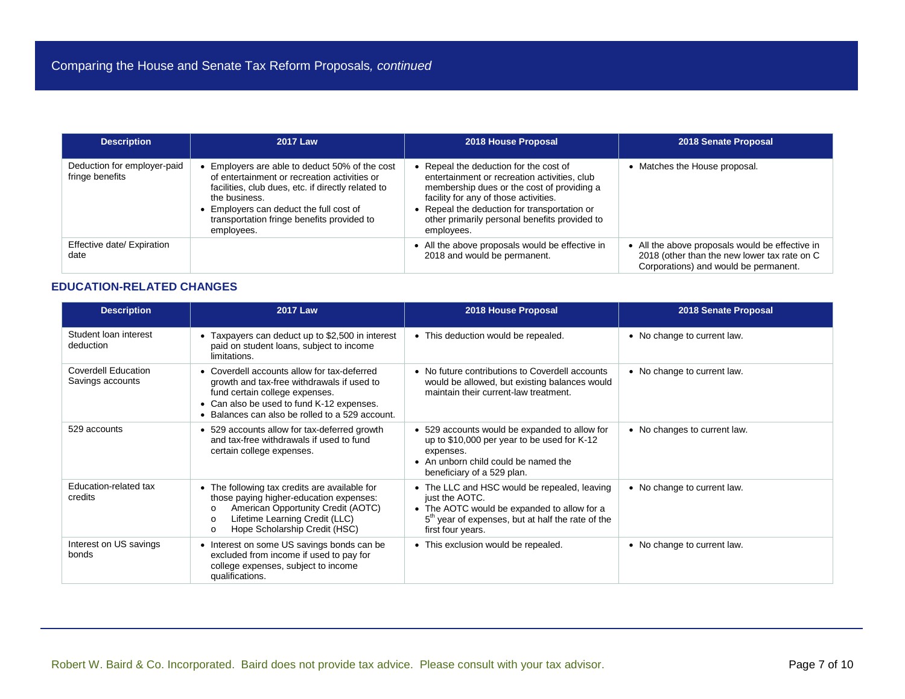| <b>Description</b>                             | <b>2017 Law</b>                                                                                                                                                                                                                                                          | 2018 House Proposal                                                                                                                                                                                                                                                                      | 2018 Senate Proposal                                                                                                                     |
|------------------------------------------------|--------------------------------------------------------------------------------------------------------------------------------------------------------------------------------------------------------------------------------------------------------------------------|------------------------------------------------------------------------------------------------------------------------------------------------------------------------------------------------------------------------------------------------------------------------------------------|------------------------------------------------------------------------------------------------------------------------------------------|
| Deduction for employer-paid<br>fringe benefits | Employers are able to deduct 50% of the cost<br>of entertainment or recreation activities or<br>facilities, club dues, etc. if directly related to<br>the business.<br>Employers can deduct the full cost of<br>transportation fringe benefits provided to<br>employees. | Repeal the deduction for the cost of<br>entertainment or recreation activities, club<br>membership dues or the cost of providing a<br>facility for any of those activities.<br>Repeal the deduction for transportation or<br>other primarily personal benefits provided to<br>employees. | Matches the House proposal.                                                                                                              |
| Effective date/ Expiration<br>date             |                                                                                                                                                                                                                                                                          | • All the above proposals would be effective in<br>2018 and would be permanent.                                                                                                                                                                                                          | • All the above proposals would be effective in<br>2018 (other than the new lower tax rate on C<br>Corporations) and would be permanent. |

## **EDUCATION-RELATED CHANGES**

| <b>Description</b>                             | <b>2017 Law</b>                                                                                                                                                                                                                       | 2018 House Proposal                                                                                                                                                                                 | 2018 Senate Proposal         |
|------------------------------------------------|---------------------------------------------------------------------------------------------------------------------------------------------------------------------------------------------------------------------------------------|-----------------------------------------------------------------------------------------------------------------------------------------------------------------------------------------------------|------------------------------|
| Student loan interest<br>deduction             | • Taxpayers can deduct up to \$2,500 in interest<br>paid on student loans, subject to income<br>limitations.                                                                                                                          | • This deduction would be repealed.                                                                                                                                                                 | • No change to current law.  |
| <b>Coverdell Education</b><br>Savings accounts | • Coverdell accounts allow for tax-deferred<br>growth and tax-free withdrawals if used to<br>fund certain college expenses.<br>• Can also be used to fund K-12 expenses.<br>• Balances can also be rolled to a 529 account.           | • No future contributions to Coverdell accounts<br>would be allowed, but existing balances would<br>maintain their current-law treatment.                                                           | • No change to current law.  |
| 529 accounts                                   | • 529 accounts allow for tax-deferred growth<br>and tax-free withdrawals if used to fund<br>certain college expenses.                                                                                                                 | • 529 accounts would be expanded to allow for<br>up to \$10,000 per year to be used for K-12<br>expenses.<br>• An unborn child could be named the<br>beneficiary of a 529 plan.                     | • No changes to current law. |
| Education-related tax<br>credits               | • The following tax credits are available for<br>those paying higher-education expenses:<br>American Opportunity Credit (AOTC)<br>$\Omega$<br>Lifetime Learning Credit (LLC)<br>$\Omega$<br>Hope Scholarship Credit (HSC)<br>$\Omega$ | • The LLC and HSC would be repealed, leaving<br>just the AOTC.<br>• The AOTC would be expanded to allow for a<br>5 <sup>th</sup> year of expenses, but at half the rate of the<br>first four years. | • No change to current law.  |
| Interest on US savings<br>bonds                | • Interest on some US savings bonds can be<br>excluded from income if used to pay for<br>college expenses, subject to income<br>qualifications.                                                                                       | • This exclusion would be repealed.                                                                                                                                                                 | • No change to current law.  |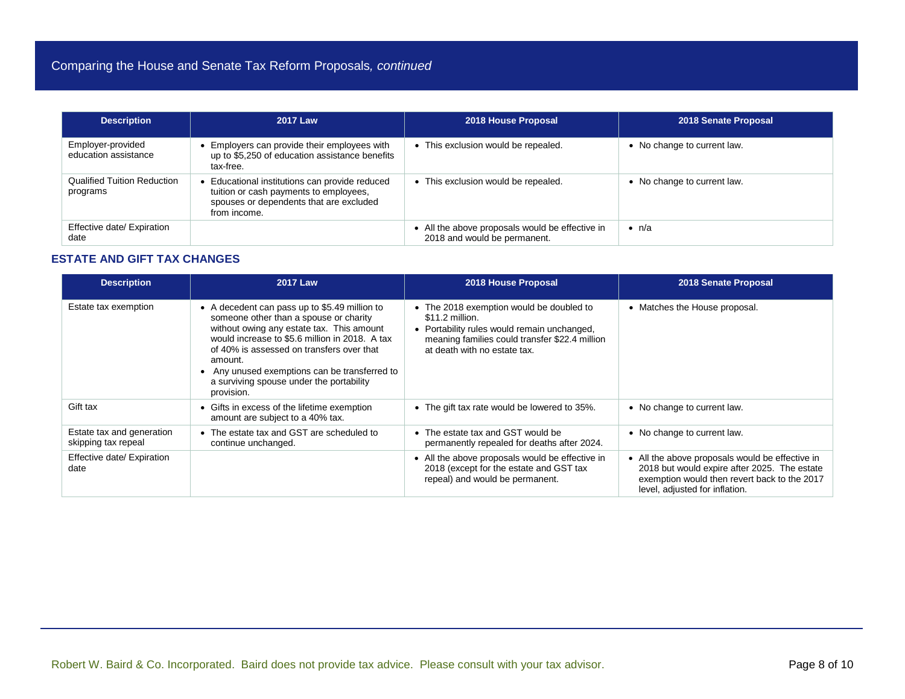| <b>Description</b>                             | <b>2017 Law</b>                                                                                                                                   | 2018 House Proposal                                                             | 2018 Senate Proposal        |
|------------------------------------------------|---------------------------------------------------------------------------------------------------------------------------------------------------|---------------------------------------------------------------------------------|-----------------------------|
| Employer-provided<br>education assistance      | Employers can provide their employees with<br>up to \$5,250 of education assistance benefits<br>tax-free.                                         | • This exclusion would be repealed.                                             | • No change to current law. |
| <b>Qualified Tuition Reduction</b><br>programs | Educational institutions can provide reduced<br>tuition or cash payments to employees,<br>spouses or dependents that are excluded<br>from income. | • This exclusion would be repealed.                                             | • No change to current law. |
| Effective date/ Expiration<br>date             |                                                                                                                                                   | • All the above proposals would be effective in<br>2018 and would be permanent. | $\bullet$ n/a               |

#### **ESTATE AND GIFT TAX CHANGES**

| <b>Description</b>                               | <b>2017 Law</b>                                                                                                                                                                                                                                                                                                                                           | 2018 House Proposal                                                                                                                                                                          | 2018 Senate Proposal                                                                                                                                                              |
|--------------------------------------------------|-----------------------------------------------------------------------------------------------------------------------------------------------------------------------------------------------------------------------------------------------------------------------------------------------------------------------------------------------------------|----------------------------------------------------------------------------------------------------------------------------------------------------------------------------------------------|-----------------------------------------------------------------------------------------------------------------------------------------------------------------------------------|
| Estate tax exemption                             | • A decedent can pass up to \$5.49 million to<br>someone other than a spouse or charity<br>without owing any estate tax. This amount<br>would increase to \$5.6 million in 2018. A tax<br>of 40% is assessed on transfers over that<br>amount.<br>• Any unused exemptions can be transferred to<br>a surviving spouse under the portability<br>provision. | • The 2018 exemption would be doubled to<br>\$11.2 million.<br>• Portability rules would remain unchanged,<br>meaning families could transfer \$22.4 million<br>at death with no estate tax. | • Matches the House proposal.                                                                                                                                                     |
| Gift tax                                         | • Gifts in excess of the lifetime exemption<br>amount are subject to a 40% tax.                                                                                                                                                                                                                                                                           | • The gift tax rate would be lowered to 35%.                                                                                                                                                 | • No change to current law.                                                                                                                                                       |
| Estate tax and generation<br>skipping tax repeal | • The estate tax and GST are scheduled to<br>continue unchanged.                                                                                                                                                                                                                                                                                          | • The estate tax and GST would be<br>permanently repealed for deaths after 2024.                                                                                                             | • No change to current law.                                                                                                                                                       |
| Effective date/ Expiration<br>date               |                                                                                                                                                                                                                                                                                                                                                           | • All the above proposals would be effective in<br>2018 (except for the estate and GST tax<br>repeal) and would be permanent.                                                                | • All the above proposals would be effective in<br>2018 but would expire after 2025. The estate<br>exemption would then revert back to the 2017<br>level, adjusted for inflation. |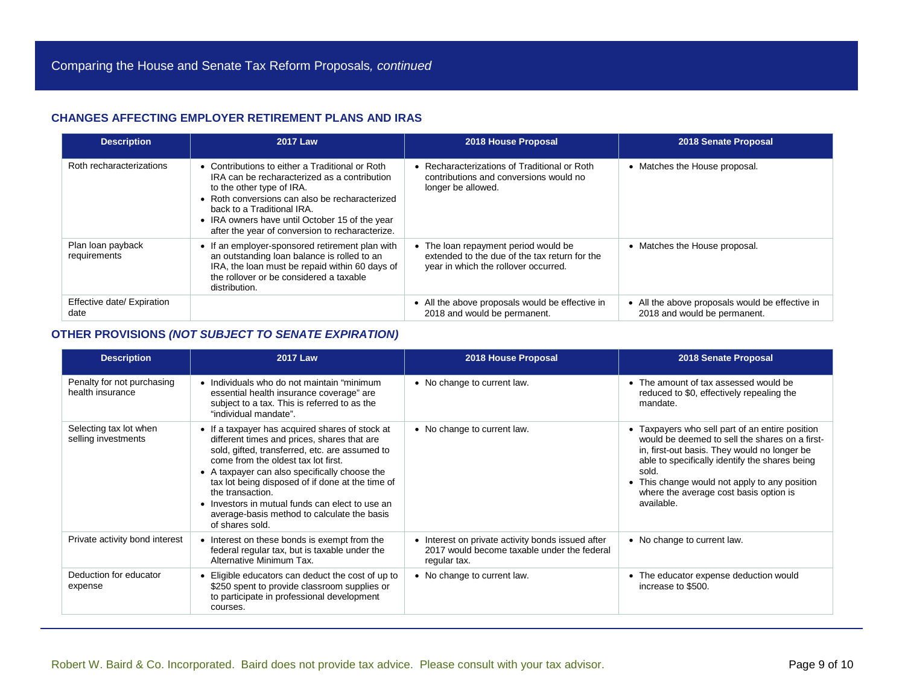## **CHANGES AFFECTING EMPLOYER RETIREMENT PLANS AND IRAS**

| <b>Description</b>                 | 2017 Law                                                                                                                                                                                                                                                                                                          | 2018 House Proposal                                                                                                           | 2018 Senate Proposal                                                            |
|------------------------------------|-------------------------------------------------------------------------------------------------------------------------------------------------------------------------------------------------------------------------------------------------------------------------------------------------------------------|-------------------------------------------------------------------------------------------------------------------------------|---------------------------------------------------------------------------------|
| Roth recharacterizations           | • Contributions to either a Traditional or Roth<br>IRA can be recharacterized as a contribution<br>to the other type of IRA.<br>• Roth conversions can also be recharacterized<br>back to a Traditional IRA.<br>• IRA owners have until October 15 of the year<br>after the year of conversion to recharacterize. | • Recharacterizations of Traditional or Roth<br>contributions and conversions would no<br>longer be allowed.                  | • Matches the House proposal.                                                   |
| Plan loan payback<br>requirements  | • If an employer-sponsored retirement plan with<br>an outstanding loan balance is rolled to an<br>IRA, the loan must be repaid within 60 days of<br>the rollover or be considered a taxable<br>distribution.                                                                                                      | • The loan repayment period would be<br>extended to the due of the tax return for the<br>year in which the rollover occurred. | • Matches the House proposal.                                                   |
| Effective date/ Expiration<br>date |                                                                                                                                                                                                                                                                                                                   | • All the above proposals would be effective in<br>2018 and would be permanent.                                               | • All the above proposals would be effective in<br>2018 and would be permanent. |

#### **OTHER PROVISIONS** *(NOT SUBJECT TO SENATE EXPIRATION)*

| <b>Description</b>                             | 2017 Law                                                                                                                                                                                                                                                                                                                                                                                                                              | 2018 House Proposal                                                                                              | 2018 Senate Proposal                                                                                                                                                                                                                                                                                                  |
|------------------------------------------------|---------------------------------------------------------------------------------------------------------------------------------------------------------------------------------------------------------------------------------------------------------------------------------------------------------------------------------------------------------------------------------------------------------------------------------------|------------------------------------------------------------------------------------------------------------------|-----------------------------------------------------------------------------------------------------------------------------------------------------------------------------------------------------------------------------------------------------------------------------------------------------------------------|
| Penalty for not purchasing<br>health insurance | • Individuals who do not maintain "minimum<br>essential health insurance coverage" are<br>subject to a tax. This is referred to as the<br>"individual mandate".                                                                                                                                                                                                                                                                       | • No change to current law.                                                                                      | • The amount of tax assessed would be<br>reduced to \$0, effectively repealing the<br>mandate.                                                                                                                                                                                                                        |
| Selecting tax lot when<br>selling investments  | • If a taxpayer has acquired shares of stock at<br>different times and prices, shares that are<br>sold, gifted, transferred, etc. are assumed to<br>come from the oldest tax lot first.<br>• A taxpayer can also specifically choose the<br>tax lot being disposed of if done at the time of<br>the transaction.<br>• Investors in mutual funds can elect to use an<br>average-basis method to calculate the basis<br>of shares sold. | • No change to current law.                                                                                      | • Taxpayers who sell part of an entire position<br>would be deemed to sell the shares on a first-<br>in, first-out basis. They would no longer be<br>able to specifically identify the shares being<br>sold.<br>• This change would not apply to any position<br>where the average cost basis option is<br>available. |
| Private activity bond interest                 | • Interest on these bonds is exempt from the<br>federal regular tax, but is taxable under the<br>Alternative Minimum Tax.                                                                                                                                                                                                                                                                                                             | • Interest on private activity bonds issued after<br>2017 would become taxable under the federal<br>regular tax. | • No change to current law.                                                                                                                                                                                                                                                                                           |
| Deduction for educator<br>expense              | Eligible educators can deduct the cost of up to<br>\$250 spent to provide classroom supplies or<br>to participate in professional development<br>courses.                                                                                                                                                                                                                                                                             | • No change to current law.                                                                                      | • The educator expense deduction would<br>increase to \$500.                                                                                                                                                                                                                                                          |